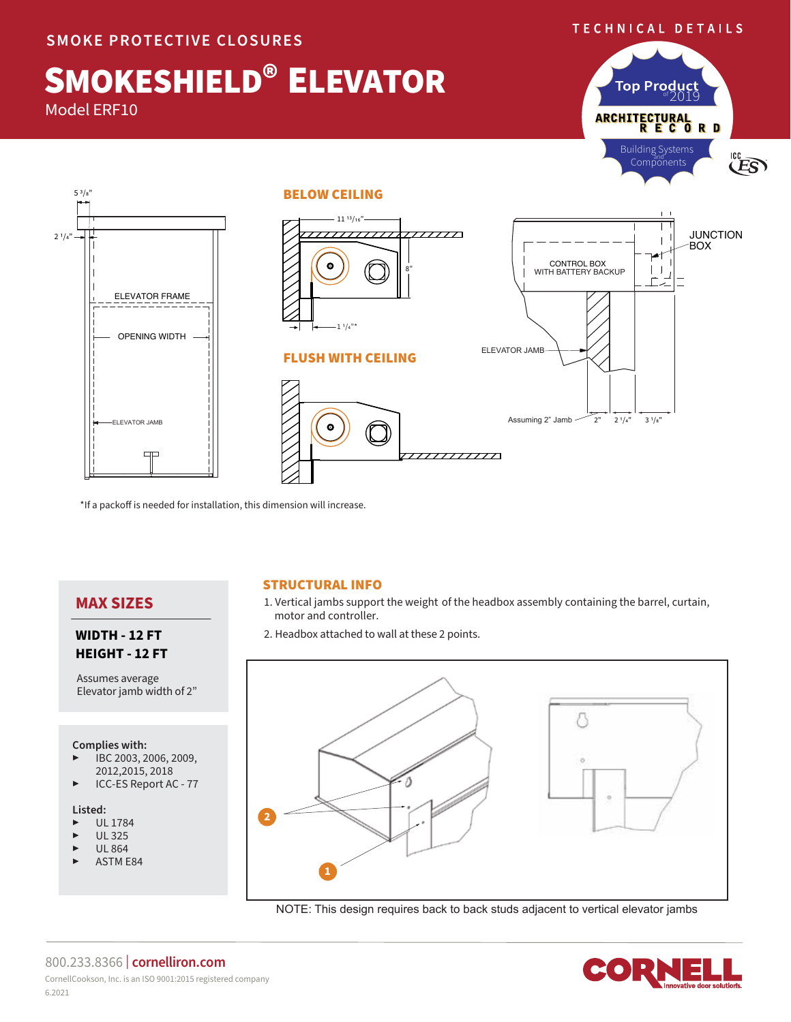#### TECHNICAL DETAILS

# SMOKESHIELD® ELEVATOR

Model ERF10

5 3/8"



#### BELOW CEILING



\*If a packoff is needed for installation, this dimension will increase.

# **MAX SIZES**

### **WIDTH - 12 FT HEIGHT - 12 FT**

Assumes average Elevator jamb width of 2"

#### **Complies with:**

- ▶ IBC 2003, 2006, 2009, 2012,2015, 2018
- **ICC-ES Report AC 77**

#### **Listed:**

- ▶ UL 1784
- ▶ UL 325
- ▶ UL 864
- ASTM E84



- 1. Vertical jambs support the weight of the headbox assembly containing the barrel, curtain, motor and controller.
- 2. Headbox attached to wall at these 2 points.



NOTE: This design requires back to back studs adjacent to vertical elevator jambs